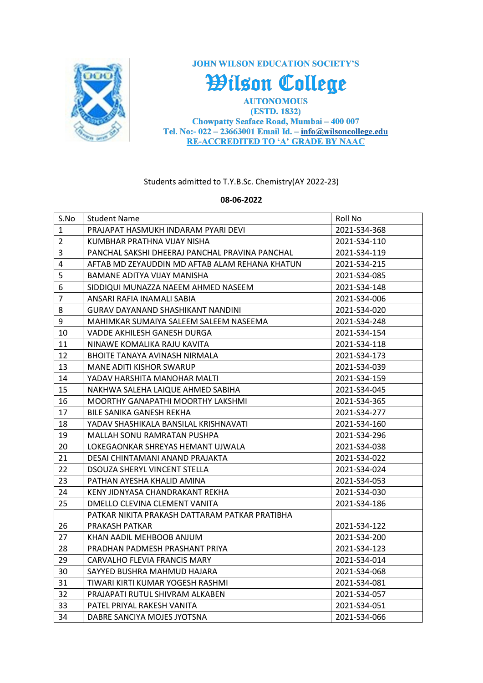

**JOHN WILSON EDUCATION SOCIETY'S** 

Wilson College

**AUTONOMOUS** (ESTD. 1832) Chowpatty Seaface Road, Mumbai - 400 007 Tel. No:-  $022 - 23663001$  Email Id. -  $info@wilsoncollege.edu$ **RE-ACCREDITED TO 'A' GRADE BY NAAC** 

Students admitted to T.Y.B.Sc. Chemistry(AY 2022-23)

## **08-06-2022**

| S.No           | <b>Student Name</b>                            | Roll No      |
|----------------|------------------------------------------------|--------------|
| $\mathbf{1}$   | PRAJAPAT HASMUKH INDARAM PYARI DEVI            | 2021-S34-368 |
| $\overline{2}$ | KUMBHAR PRATHNA VIJAY NISHA                    | 2021-S34-110 |
| 3              | PANCHAL SAKSHI DHEERAJ PANCHAL PRAVINA PANCHAL | 2021-S34-119 |
| 4              | AFTAB MD ZEYAUDDIN MD AFTAB ALAM REHANA KHATUN | 2021-S34-215 |
| 5              | BAMANE ADITYA VIJAY MANISHA                    | 2021-S34-085 |
| 6              | SIDDIQUI MUNAZZA NAEEM AHMED NASEEM            | 2021-S34-148 |
| $\overline{7}$ | ANSARI RAFIA INAMALI SABIA                     | 2021-S34-006 |
| 8              | <b>GURAV DAYANAND SHASHIKANT NANDINI</b>       | 2021-S34-020 |
| 9              | MAHIMKAR SUMAIYA SALEEM SALEEM NASEEMA         | 2021-S34-248 |
| 10             | VADDE AKHILESH GANESH DURGA                    | 2021-S34-154 |
| 11             | NINAWE KOMALIKA RAJU KAVITA                    | 2021-S34-118 |
| 12             | BHOITE TANAYA AVINASH NIRMALA                  | 2021-S34-173 |
| 13             | MANE ADITI KISHOR SWARUP                       | 2021-S34-039 |
| 14             | YADAV HARSHITA MANOHAR MALTI                   | 2021-S34-159 |
| 15             | NAKHWA SALEHA LAIQUE AHMED SABIHA              | 2021-S34-045 |
| 16             | MOORTHY GANAPATHI MOORTHY LAKSHMI              | 2021-S34-365 |
| 17             | BILE SANIKA GANESH REKHA                       | 2021-S34-277 |
| 18             | YADAV SHASHIKALA BANSILAL KRISHNAVATI          | 2021-S34-160 |
| 19             | MALLAH SONU RAMRATAN PUSHPA                    | 2021-S34-296 |
| 20             | LOKEGAONKAR SHREYAS HEMANT UJWALA              | 2021-S34-038 |
| 21             | DESAI CHINTAMANI ANAND PRAJAKTA                | 2021-S34-022 |
| 22             | <b>DSOUZA SHERYL VINCENT STELLA</b>            | 2021-S34-024 |
| 23             | PATHAN AYESHA KHALID AMINA                     | 2021-S34-053 |
| 24             | KENY JIDNYASA CHANDRAKANT REKHA                | 2021-S34-030 |
| 25             | DMELLO CLEVINA CLEMENT VANITA                  | 2021-S34-186 |
|                | PATKAR NIKITA PRAKASH DATTARAM PATKAR PRATIBHA |              |
| 26             | PRAKASH PATKAR                                 | 2021-S34-122 |
| 27             | KHAN AADIL MEHBOOB ANJUM                       | 2021-S34-200 |
| 28             | PRADHAN PADMESH PRASHANT PRIYA                 | 2021-S34-123 |
| 29             | CARVALHO FLEVIA FRANCIS MARY                   | 2021-S34-014 |
| 30             | SAYYED BUSHRA MAHMUD HAJARA                    | 2021-S34-068 |
| 31             | TIWARI KIRTI KUMAR YOGESH RASHMI               | 2021-S34-081 |
| 32             | PRAJAPATI RUTUL SHIVRAM ALKABEN                | 2021-S34-057 |
| 33             | PATEL PRIYAL RAKESH VANITA                     | 2021-S34-051 |
| 34             | DABRE SANCIYA MOJES JYOTSNA                    | 2021-S34-066 |